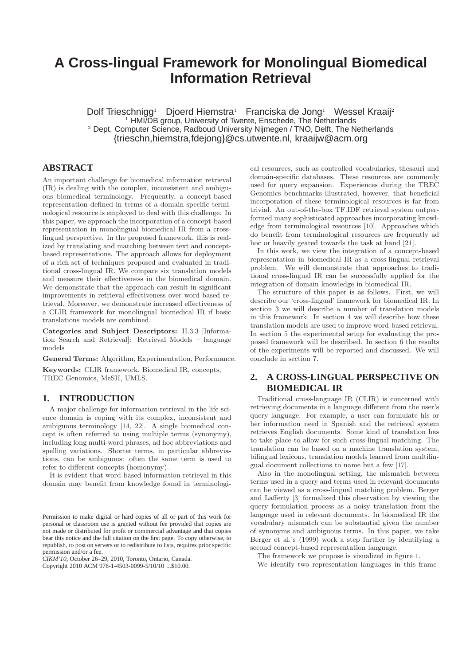# **A Cross-lingual Framework for Monolingual Biomedical Information Retrieval**

Dolf Trieschnigg<sup>1</sup> Djoerd Hiemstra<sup>1</sup> Franciska de Jong<sup>1</sup> Wessel Kraaij<sup>2</sup> <sup>1</sup> HMI/DB group, University of Twente, Enschede, The Netherlands <sup>2</sup> Dept. Computer Science, Radboud University Nijmegen / TNO, Delft, The Netherlands {trieschn,hiemstra,fdejong}@cs.utwente.nl, kraaijw@acm.org

# **ABSTRACT**

An important challenge for biomedical information retrieval (IR) is dealing with the complex, inconsistent and ambiguous biomedical terminology. Frequently, a concept-based representation defined in terms of a domain-specific terminological resource is employed to deal with this challenge. In this paper, we approach the incorporation of a concept-based representation in monolingual biomedical IR from a crosslingual perspective. In the proposed framework, this is realized by translating and matching between text and conceptbased representations. The approach allows for deployment of a rich set of techniques proposed and evaluated in traditional cross-lingual IR. We compare six translation models and measure their effectiveness in the biomedical domain. We demonstrate that the approach can result in significant improvements in retrieval effectiveness over word-based retrieval. Moreover, we demonstrate increased effectiveness of a CLIR framework for monolingual biomedical IR if basic translations models are combined.

Categories and Subject Descriptors: H.3.3 [Information Search and Retrieval]: Retrieval Models – language models

General Terms: Algorithm, Experimentation, Performance.

Keywords: CLIR framework, Biomedical IR, concepts, TREC Genomics, MeSH, UMLS.

# **1. INTRODUCTION**

A major challenge for information retrieval in the life science domain is coping with its complex, inconsistent and ambiguous terminology [14, 22]. A single biomedical concept is often referred to using multiple terms (synonymy), including long multi-word phrases, ad hoc abbreviations and spelling variations. Shorter terms, in particular abbreviations, can be ambiguous: often the same term is used to refer to different concepts (homonymy).

It is evident that word-based information retrieval in this domain may benefit from knowledge found in terminologi-

*CIKM'10,* October 26–29, 2010, Toronto, Ontario, Canada. Copyright 2010 ACM 978-1-4503-0099-5/10/10 ...\$10.00.

cal resources, such as controlled vocabularies, thesauri and domain-specific databases. These resources are commonly used for query expansion. Experiences during the TREC Genomics benchmarks illustrated, however, that beneficial incorporation of these terminological resources is far from trivial. An out-of-the-box TF.IDF retrieval system outperformed many sophisticated approaches incorporating knowledge from terminological resources [10]. Approaches which do benefit from terminological resources are frequently ad hoc or heavily geared towards the task at hand [21].

In this work, we view the integration of a concept-based representation in biomedical IR as a cross-lingual retrieval problem. We will demonstrate that approaches to traditional cross-lingual IR can be successfully applied for the integration of domain knowledge in biomedical IR.

The structure of this paper is as follows. First, we will describe our 'cross-lingual' framework for biomedical IR. In section 3 we will describe a number of translation models in this framework. In section 4 we will describe how these translation models are used to improve word-based retrieval. In section 5 the experimental setup for evaluating the proposed framework will be described. In section 6 the results of the experiments will be reported and discussed. We will conclude in section 7.

# **2. A CROSS-LINGUAL PERSPECTIVE ON BIOMEDICAL IR**

Traditional cross-language IR (CLIR) is concerned with retrieving documents in a language different from the user's query language. For example, a user can formulate his or her information need in Spanish and the retrieval system retrieves English documents. Some kind of translation has to take place to allow for such cross-lingual matching. The translation can be based on a machine translation system, bilingual lexicons, translation models learned from multilingual document collections to name but a few [17].

Also in the monolingual setting, the mismatch between terms used in a query and terms used in relevant documents can be viewed as a cross-lingual matching problem. Berger and Lafferty [3] formalized this observation by viewing the query formulation process as a noisy translation from the language used in relevant documents. In biomedical IR the vocabulary mismatch can be substantial given the number of synonyms and ambiguous terms. In this paper, we take Berger et al.'s (1999) work a step further by identifying a second concept-based representation language.

The framework we propose is visualized in figure 1.

We identify two representation languages in this frame-

Permission to make digital or hard copies of all or part of this work for personal or classroom use is granted without fee provided that copies are not made or distributed for profit or commercial advantage and that copies bear this notice and the full citation on the first page. To copy otherwise, to republish, to post on servers or to redistribute to lists, requires prior specific permission and/or a fee.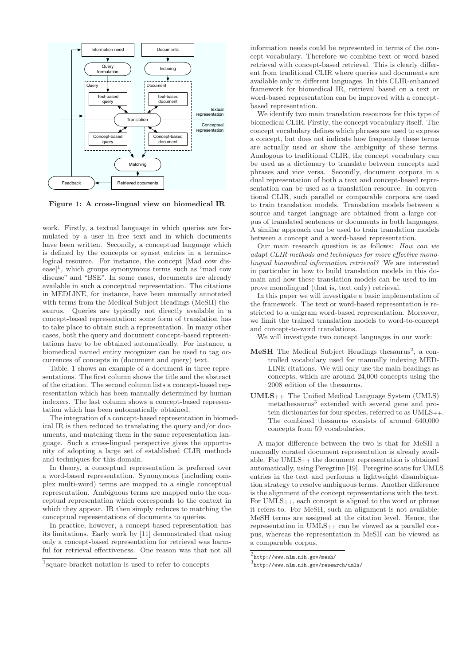

Figure 1: A cross-lingual view on biomedical IR

work. Firstly, a textual language in which queries are formulated by a user in free text and in which documents have been written. Secondly, a conceptual language which is defined by the concepts or synset entries in a terminological resource. For instance, the concept [Mad cow dis- $|e|$ , which groups synonymous terms such as "mad cow disease" and "BSE". In some cases, documents are already available in such a conceptual representation. The citations in MEDLINE, for instance, have been manually annotated with terms from the Medical Subject Headings (MeSH) thesaurus. Queries are typically not directly available in a concept-based representation; some form of translation has to take place to obtain such a representation. In many other cases, both the query and document concept-based representations have to be obtained automatically. For instance, a biomedical named entity recognizer can be used to tag occurrences of concepts in (document and query) text.

Table. 1 shows an example of a document in three representations. The first column shows the title and the abstract of the citation. The second column lists a concept-based representation which has been manually determined by human indexers. The last column shows a concept-based representation which has been automatically obtained.

The integration of a concept-based representation in biomedical IR is then reduced to translating the query and/or documents, and matching them in the same representation language. Such a cross-lingual perspective gives the opportunity of adopting a large set of established CLIR methods and techniques for this domain.

In theory, a conceptual representation is preferred over a word-based representation. Synonymous (including complex multi-word) terms are mapped to a single conceptual representation. Ambiguous terms are mapped onto the conceptual representation which corresponds to the context in which they appear. IR then simply reduces to matching the conceptual representations of documents to queries.

In practice, however, a concept-based representation has its limitations. Early work by [11] demonstrated that using only a concept-based representation for retrieval was harmful for retrieval effectiveness. One reason was that not all information needs could be represented in terms of the concept vocabulary. Therefore we combine text or word-based retrieval with concept-based retrieval. This is clearly different from traditional CLIR where queries and documents are available only in different languages. In this CLIR-enhanced framework for biomedical IR, retrieval based on a text or word-based representation can be improved with a conceptbased representation.

We identify two main translation resources for this type of biomedical CLIR. Firstly, the concept vocabulary itself. The concept vocabulary defines which phrases are used to express a concept, but does not indicate how frequently these terms are actually used or show the ambiguity of these terms. Analogous to traditional CLIR, the concept vocabulary can be used as a dictionary to translate between concepts and phrases and vice versa. Secondly, document corpora in a dual representation of both a text and concept-based representation can be used as a translation resource. In conventional CLIR, such parallel or comparable corpora are used to train translation models. Translation models between a source and target language are obtained from a large corpus of translated sentences or documents in both languages. A similar approach can be used to train translation models between a concept and a word-based representation.

Our main research question is as follows: How can we adapt CLIR methods and techniques for more effective monolingual biomedical information retrieval? We are interested in particular in how to build translation models in this domain and how these translation models can be used to improve monolingual (that is, text only) retrieval.

In this paper we will investigate a basic implementation of the framework. The text or word-based representation is restricted to a unigram word-based representation. Moreover, we limit the trained translation models to word-to-concept and concept-to-word translations.

We will investigate two concept languages in our work:

- MeSH The Medical Subject Headings thesaurus<sup>2</sup>, a controlled vocabulary used for manually indexing MED-LINE citations. We will only use the main headings as concepts, which are around 24,000 concepts using the 2008 edition of the thesaurus.
- UMLS++ The Unified Medical Language System (UMLS) metathesaurus<sup>3</sup> extended with several gene and protein dictionaries for four species, referred to as UMLS++. The combined thesaurus consists of around 640,000 concepts from 59 vocabularies.

A major difference between the two is that for MeSH a manually curated document representation is already available. For UMLS++ the document representation is obtained automatically, using Peregrine [19]. Peregrine scans for UMLS entries in the text and performs a lightweight disambiguation strategy to resolve ambiguous terms. Another difference is the alignment of the concept representations with the text. For UMLS++, each concept is aligned to the word or phrase it refers to. For MeSH, such an alignment is not available: MeSH terms are assigned at the citation level. Hence, the representation in  $UMLS_{++}$  can be viewed as a parallel corpus, whereas the representation in MeSH can be viewed as a comparable corpus.

<sup>1</sup> square bracket notation is used to refer to concepts

 $^{2}$ http://www.nlm.nih.gov/mesh/

 $^3$ http://www.nlm.nih.gov/research/umls/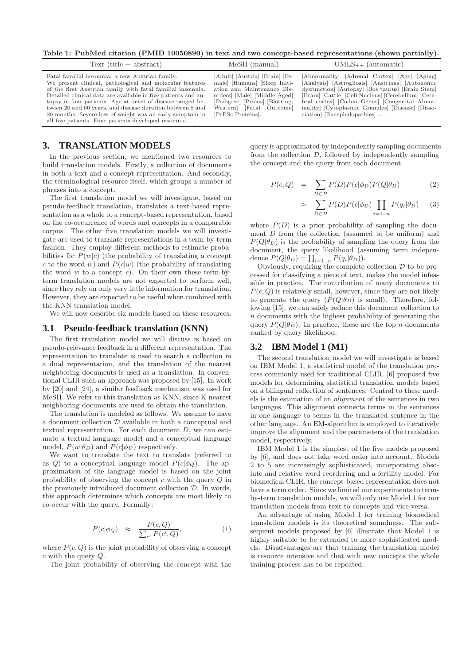Table 1: PubMed citation (PMID 10050890) in text and two concept-based representations (shown partially).

| $Text (title + abstract)$                                                                                                                                                                                                                                                                                                                                                                                                                                                                | $MeSH$ (manual)                                                                                                                                                                                               | $UMLS_{++}$ (automatic)                                                                                                                                                                                                                                                                                                                        |
|------------------------------------------------------------------------------------------------------------------------------------------------------------------------------------------------------------------------------------------------------------------------------------------------------------------------------------------------------------------------------------------------------------------------------------------------------------------------------------------|---------------------------------------------------------------------------------------------------------------------------------------------------------------------------------------------------------------|------------------------------------------------------------------------------------------------------------------------------------------------------------------------------------------------------------------------------------------------------------------------------------------------------------------------------------------------|
| Fatal familial insomnia: a new Austrian family.<br>We present clinical, pathological and molecular features<br>of the first Austrian family with fatal familial insomnia.<br>Detailed clinical data are available in five patients and au-<br>topsy in four patients. Age at onset of disease ranged be-<br>tween 20 and 60 years, and disease duration between 8 and<br>20 months. Severe loss of weight was an early symptom in<br>all five patients. Four patients developed insomnia | [Adult] [Austria] [Brain] [Fe-<br>male] [Humans] [Sleep Initi-<br>ation and Maintenance Dis-<br>orders [Male] [Middle Aged]<br>[Pedigree] [Prions] [Blotting,<br>Western [Fatal Outcome]<br>[PrPSc Proteins]. | [Abnormality] [Adrenal Cortex] [Age] [Aging]<br>[Analysis] [Astrogliosis] [Austrians] [Autonomic<br>dysfunction [Autopsy] [Bos taurus] [Brain Stem]<br>[Brain] [Cattle] [Cell Nucleus] [Cerebellum] [Cere-<br>bral cortex] [Codon Genus] [Congenital Abnor-<br>mality [Cytoplasmic Granules] [Disease] [Disso-<br>$ciation$ [Encephalopathies] |

## **3. TRANSLATION MODELS**

In the previous section, we mentioned two resources to build translation models. Firstly, a collection of documents in both a text and a concept representation. And secondly, the terminological resource itself, which groups a number of phrases into a concept.

The first translation model we will investigate, based on pseudo-feedback translation, translates a text-based representation as a whole to a concept-based representation, based on the co-occurrence of words and concepts in a comparable corpus. The other five translation models we will investigate are used to translate representations in a term-by-term fashion. They employ different methods to estimate probabilities for  $P(w|c)$  (the probability of translating a concept c to the word w) and  $P(c|w)$  (the probability of translating the word  $w$  to a concept  $c$ ). On their own these term-byterm translation models are not expected to perform well, since they rely on only very little information for translation. However, they are expected to be useful when combined with the KNN translation model.

We will now describe six models based on these resources.

#### **3.1 Pseudo-feedback translation (KNN)**

The first translation model we will discuss is based on pseudo-relevance feedback in a different representation. The representation to translate is used to search a collection in a dual representation, and the translation of the nearest neighboring documents is used as a translation. In conventional CLIR such an approach was proposed by [15]. In work by [20] and [24], a similar feedback mechanism was used for MeSH. We refer to this translation as KNN, since K nearest neighboring documents are used to obtain the translation.

The translation is modeled as follows. We assume to have a document collection D available in both a conceptual and textual representation. For each document D, we can estimate a textual language model and a conceptual language model,  $P(w|\theta_D)$  and  $P(c|\phi_D)$  respectively.

We want to translate the text to translate (referred to as Q) to a conceptual language model  $P(c|\phi_{Q})$ . The approximation of the language model is based on the joint probability of observing the concept c with the query Q in the previously introduced document collection  $D$ . In words, this approach determines which concepts are most likely to co-occur with the query. Formally:

$$
P(c|\phi_Q) \approx \frac{P(c,Q)}{\sum_{c'} P(c',Q)}, \qquad (1)
$$

where  $P(c, Q)$  is the joint probability of observing a concept c with the query Q.

The joint probability of observing the concept with the

query is approximated by independently sampling documents from the collection  $\mathcal{D}$ , followed by independently sampling the concept and the query from each document.

$$
P(c,Q) = \sum_{D \in \mathcal{D}} P(D)P(c|\phi_D)P(Q|\theta_D)
$$
 (2)

$$
\approx \sum_{D \in \mathcal{D}} P(D) P(c | \phi_D) \prod_{i=1..n} P(q_i | \theta_D) \qquad (3)
$$

where  $P(D)$  is a prior probability of sampling the document D from the collection (assumed to be uniform) and  $P(Q|\theta_D)$  is the probability of sampling the query from the document, the query likelihood (assuming term independence  $P(Q|\theta_D) = \prod_{i=1...n} P(q_i|\theta_D)).$ 

Obviously, requiring the complete collection  $D$  to be processed for classifying a piece of text, makes the model infeasible in practice. The contribution of many documents to  $P(c, Q)$  is relatively small, however, since they are not likely to generate the query  $(P(Q|\theta_D))$  is small). Therefore, following [15], we can safely reduce this document collection to n documents with the highest probability of generating the query  $P(Q|\theta_D)$ . In practice, these are the top n documents ranked by query likelihood.

#### **3.2 IBM Model 1 (M1)**

The second translation model we will investigate is based on IBM Model 1, a statistical model of the translation process commonly used for traditional CLIR. [6] proposed five models for determining statistical translation models based on a bilingual collection of sentences. Central to these models is the estimation of an alignment of the sentences in two languages. This alignment connects terms in the sentences in one language to terms in the translated sentence in the other language. An EM-algorithm is employed to iteratively improve the alignment and the parameters of the translation model, respectively.

IBM Model 1 is the simplest of the five models proposed by [6], and does not take word order into account. Models 2 to 5 are increasingly sophisticated, incorporating absolute and relative word reordering and a fertility model. For biomedical CLIR, the concept-based representation does not have a term order. Since we limited our experiments to termby-term translation models, we will only use Model 1 for our translation models from text to concepts and vice versa.

An advantage of using Model 1 for training biomedical translation models is its theoretical soundness. The subsequent models proposed by [6] illustrate that Model 1 is highly suitable to be extended to more sophisticated models. Disadvantages are that training the translation model is resource intensive and that with new concepts the whole training process has to be repeated.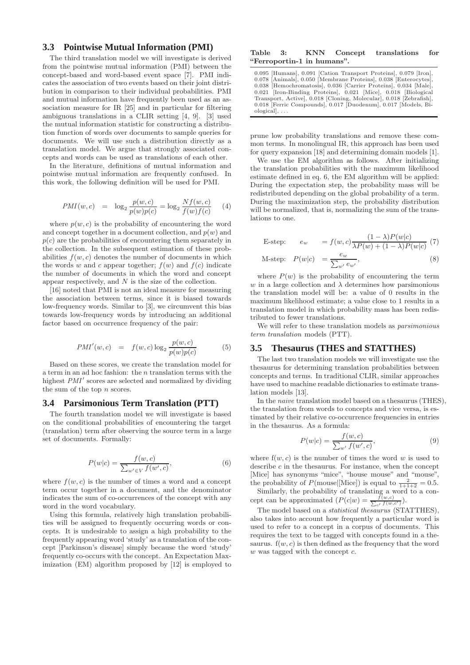# **3.3 Pointwise Mutual Information (PMI)**

The third translation model we will investigate is derived from the pointwise mutual information (PMI) between the concept-based and word-based event space [7]. PMI indicates the association of two events based on their joint distribution in comparison to their individual probabilities. PMI and mutual information have frequently been used as an association measure for IR [25] and in particular for filtering ambiguous translations in a CLIR setting [4, 9]. [3] used the mutual information statistic for constructing a distribution function of words over documents to sample queries for documents. We will use such a distribution directly as a translation model. We argue that strongly associated concepts and words can be used as translations of each other.

In the literature, definitions of mutual information and pointwise mutual information are frequently confused. In this work, the following definition will be used for PMI.

$$
PMI(w, c) = \log_2 \frac{p(w, c)}{p(w)p(c)} = \log_2 \frac{Nf(w, c)}{f(w)f(c)}
$$
(4)

where  $p(w, c)$  is the probability of encountering the word and concept together in a document collection, and  $p(w)$  and  $p(c)$  are the probabilities of encountering them separately in the collection. In the subsequent estimation of these probabilities  $f(w, c)$  denotes the number of documents in which the words w and c appear together;  $f(w)$  and  $f(c)$  indicate the number of documents in which the word and concept appear respectively, and  $N$  is the size of the collection.

[16] noted that PMI is not an ideal measure for measuring the association between terms, since it is biased towards low-frequency words. Similar to [3], we circumvent this bias towards low-frequency words by introducing an additional factor based on occurrence frequency of the pair:

$$
PMI'(w, c) = f(w, c) \log_2 \frac{p(w, c)}{p(w)p(c)}
$$
(5)

Based on these scores, we create the translation model for a term in an ad hoc fashion: the n translation terms with the highest PMI′ scores are selected and normalized by dividing the sum of the top n scores.

#### **3.4 Parsimonious Term Translation (PTT)**

The fourth translation model we will investigate is based on the conditional probabilities of encountering the target (translation) term after observing the source term in a large set of documents. Formally:

$$
P(w|c) = \frac{f(w, c)}{\sum_{w' \in V} f(w', c)},
$$
\n(6)

where  $f(w, c)$  is the number of times a word and a concept term occur together in a document, and the denominator indicates the sum of co-occurrences of the concept with any word in the word vocabulary.

Using this formula, relatively high translation probabilities will be assigned to frequently occurring words or concepts. It is undesirable to assign a high probability to the frequently appearing word 'study' as a translation of the concept [Parkinson's disease] simply because the word 'study' frequently co-occurs with the concept. An Expectation Maximization (EM) algorithm proposed by [12] is employed to

| Table 3: |                            | KNN Concept translations for |  |
|----------|----------------------------|------------------------------|--|
|          | "Ferroportin-1 in humans". |                              |  |

| 0.095 [Humans], 0.091 [Cation Transport Proteins], 0.079 [Iron],  |
|-------------------------------------------------------------------|
| 0.078 [Animals], 0.050 [Membrane Proteins], 0.038 [Enterocytes],  |
| 0.038 [Hemochromatosis], 0.036 [Carrier Proteins], 0.034 [Male],  |
| 0.021 [Iron-Binding Proteins], 0.021 [Mice], 0.018 [Biological]   |
| Transport, Active, 0.018 [Cloning, Molecular], 0.018 [Zebrafish], |
| 0.018 [Ferric Compounds], 0.017 [Duodenum], 0.017 [Models, Bi-    |
| $\alpha$ ological, $\ldots$                                       |

prune low probability translations and remove these common terms. In monolingual IR, this approach has been used for query expansion [18] and determining domain models [1].

We use the EM algorithm as follows. After initializing the translation probabilities with the maximum likelihood estimate defined in eq. 6, the EM algorithm will be applied: During the expectation step, the probability mass will be redistributed depending on the global probability of a term. During the maximization step, the probability distribution will be normalized, that is, normalizing the sum of the translations to one.

E-step: 
$$
e_w = f(w, c) \frac{(1 - \lambda)P(w|c)}{\lambda P(w) + (1 - \lambda)P(w|c)}
$$
 (7)

M-step: 
$$
P(w|c) = \frac{e_w}{\sum_{w'} e_{w'}},
$$
 (8)

where  $P(w)$  is the probability of encountering the term w in a large collection and  $\lambda$  determines how parsimonious the translation model will be: a value of 0 results in the maximum likelihood estimate; a value close to 1 results in a translation model in which probability mass has been redistributed to fewer translations.

We will refer to these translation models as *parsimonious* term translation models (PTT).

## **3.5 Thesaurus (THES and STATTHES)**

The last two translation models we will investigate use the thesaurus for determining translation probabilities between concepts and terms. In traditional CLIR, similar approaches have used to machine readable dictionaries to estimate translation models [13].

In the naive translation model based on a thesaurus (THES), the translation from words to concepts and vice versa, is estimated by their relative co-occurrence frequencies in entries in the thesaurus. As a formula:

$$
P(w|c) = \frac{f(w, c)}{\sum_{w'} f(w', c)},
$$
\n(9)

where  $f(w, c)$  is the number of times the word w is used to describe  $c$  in the thesaurus. For instance, when the concept [Mice] has synonyms "mice", "house mouse" and "mouse", the probability of  $P(\text{mouse}|\text{[Mice]})$  is equal to  $\frac{2}{1+1+2} = 0.5$ .

Similarly, the probability of translating a word to a concept can be approximated  $(P(c|w) = \frac{f(w,c)}{\sum_{c'} f(w,c')}).$ 

The model based on a statistical thesaurus (STATTHES), also takes into account how frequently a particular word is used to refer to a concept in a corpus of documents. This requires the text to be tagged with concepts found in a thesaurus.  $f(w, c)$  is then defined as the frequency that the word  $w$  was tagged with the concept  $c$ .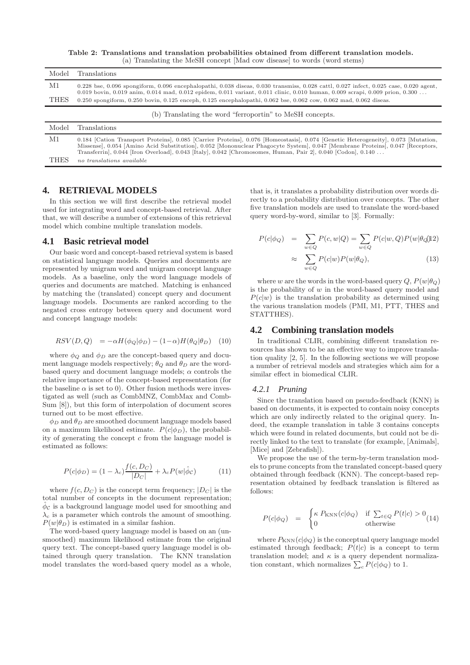Table 2: Translations and translation probabilities obtained from different translation models. (a) Translating the MeSH concept [Mad cow disease] to words (word stems)

| Model       | <b>Translations</b>                                                                                                                                                                                                                                                                                                                                                                |
|-------------|------------------------------------------------------------------------------------------------------------------------------------------------------------------------------------------------------------------------------------------------------------------------------------------------------------------------------------------------------------------------------------|
| M1          | 0.228 bse, 0.096 spongiform, 0.096 encephalopathi, 0.038 diseas, 0.030 transmiss, 0.028 cattl, 0.027 infect, 0.025 case, 0.020 agent,<br>0.019 bovin, 0.019 anim, 0.014 mad, 0.012 epidem, 0.011 variant, 0.011 clinic, 0.010 human, 0.009 scrapi, 0.009 prion, 0.300                                                                                                              |
| <b>THES</b> | 0.250 spongiform, 0.250 bovin, 0.125 enceph, 0.125 encephalopathi, 0.062 bse, 0.062 cow, 0.062 mad, 0.062 diseas.                                                                                                                                                                                                                                                                  |
|             | (b) Translating the word "ferroportin" to MeSH concepts.                                                                                                                                                                                                                                                                                                                           |
| Model       | Translations                                                                                                                                                                                                                                                                                                                                                                       |
| M1          | 0.184 [Cation Transport Proteins], 0.085 [Carrier Proteins], 0.076 [Homeostasis], 0.074 [Genetic Heterogeneity], 0.073 [Mutation,<br>Missense], 0.054 [Amino Acid Substitution], 0.052 [Mononuclear Phagocyte System], 0.047 [Membrane Proteins], 0.047 [Receptors,<br>Transferrin, 0.044 [Iron Overload], 0.043 [Italy], 0.042 [Chromosomes, Human, Pair 2], 0.040 [Codon], 0.140 |
| <b>THES</b> | no translations available                                                                                                                                                                                                                                                                                                                                                          |

#### **4. RETRIEVAL MODELS**

In this section we will first describe the retrieval model used for integrating word and concept-based retrieval. After that, we will describe a number of extensions of this retrieval model which combine multiple translation models.

#### **4.1 Basic retrieval model**

Our basic word and concept-based retrieval system is based on statistical language models. Queries and documents are represented by unigram word and unigram concept language models. As a baseline, only the word language models of queries and documents are matched. Matching is enhanced by matching the (translated) concept query and document language models. Documents are ranked according to the negated cross entropy between query and document word and concept language models:

$$
RSV(D,Q) = -\alpha H(\phi_Q|\phi_D) - (1-\alpha)H(\theta_Q|\theta_D) \quad (10)
$$

where  $\phi_Q$  and  $\phi_D$  are the concept-based query and document language models respectively;  $\theta_{\Omega}$  and  $\theta_{D}$  are the wordbased query and document language models;  $\alpha$  controls the relative importance of the concept-based representation (for the baseline  $\alpha$  is set to 0). Other fusion methods were investigated as well (such as CombMNZ, CombMax and Comb-Sum [8]), but this form of interpolation of document scores turned out to be most effective.

 $\phi_D$  and  $\theta_D$  are smoothed document language models based on a maximum likelihood estimate.  $P(c|\phi_D)$ , the probability of generating the concept c from the language model is estimated as follows:

$$
P(c|\phi_D) = (1 - \lambda_c) \frac{f(c, D_C)}{|D_C|} + \lambda_c P(w|\hat{\phi}_C)
$$
 (11)

where  $f(c, D_C)$  is the concept term frequency;  $|D_C|$  is the total number of concepts in the document representation;  $\hat{\phi}_{\mathcal{C}}$  is a background language model used for smoothing and  $\lambda_c$  is a parameter which controls the amount of smoothing.  $P(w|\theta_D)$  is estimated in a similar fashion.

The word-based query language model is based on an (unsmoothed) maximum likelihood estimate from the original query text. The concept-based query language model is obtained through query translation. The KNN translation model translates the word-based query model as a whole,

that is, it translates a probability distribution over words directly to a probability distribution over concepts. The other five translation models are used to translate the word-based query word-by-word, similar to [3]. Formally:

$$
P(c|\phi_Q) = \sum_{w \in Q} P(c, w|Q) = \sum_{w \in Q} P(c|w, Q)P(w|\theta_Q)|
$$
  
 
$$
\approx \sum_{w \in Q} P(c|w)P(w|\theta_Q), \qquad (13)
$$

where w are the words in the word-based query  $Q, P(w|\theta_Q)$ is the probability of  $w$  in the word-based query model and  $P(c|w)$  is the translation probability as determined using the various translation models (PMI, M1, PTT, THES and STATTHES).

## **4.2 Combining translation models**

In traditional CLIR, combining different translation resources has shown to be an effective way to improve translation quality [2, 5]. In the following sections we will propose a number of retrieval models and strategies which aim for a similar effect in biomedical CLIR.

#### *4.2.1 Pruning*

Since the translation based on pseudo-feedback (KNN) is based on documents, it is expected to contain noisy concepts which are only indirectly related to the original query. Indeed, the example translation in table 3 contains concepts which were found in related documents, but could not be directly linked to the text to translate (for example, [Animals], [Mice] and [Zebrafish]).

We propose the use of the term-by-term translation models to prune concepts from the translated concept-based query obtained through feedback (KNN). The concept-based representation obtained by feedback translation is filtered as follows:

$$
P(c|\phi_Q) = \begin{cases} \kappa \ P_{\text{KNN}}(c|\phi_Q) & \text{if } \sum_{t \in Q} P(t|c) > 0 \\ 0 & \text{otherwise} \end{cases}
$$
(14)

where  $P_{KNN}(c|\phi_Q)$  is the conceptual query language model estimated through feedback;  $P(t|c)$  is a concept to term translation model; and  $\kappa$  is a query dependent normalization constant, which normalizes  $\sum_{c} P(c|\phi_{Q})$  to 1.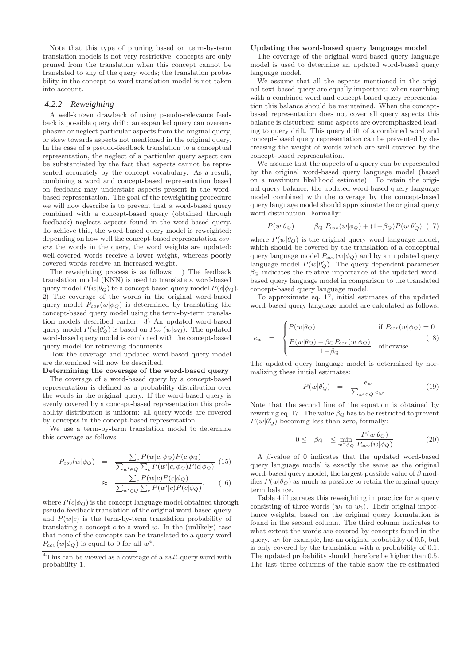Note that this type of pruning based on term-by-term translation models is not very restrictive: concepts are only pruned from the translation when this concept cannot be translated to any of the query words; the translation probability in the concept-to-word translation model is not taken into account.

## *4.2.2 Reweighting*

A well-known drawback of using pseudo-relevance feedback is possible query drift: an expanded query can overemphasize or neglect particular aspects from the original query, or skew towards aspects not mentioned in the original query. In the case of a pseudo-feedback translation to a conceptual representation, the neglect of a particular query aspect can be substantiated by the fact that aspects cannot be represented accurately by the concept vocabulary. As a result, combining a word and concept-based representation based on feedback may understate aspects present in the wordbased representation. The goal of the reweighting procedure we will now describe is to prevent that a word-based query combined with a concept-based query (obtained through feedback) neglects aspects found in the word-based query. To achieve this, the word-based query model is reweighted: depending on how well the concept-based representation covers the words in the query, the word weights are updated: well-covered words receive a lower weight, whereas poorly covered words receive an increased weight.

The reweighting process is as follows: 1) The feedback translation model (KNN) is used to translate a word-based query model  $P(w|\theta_Q)$  to a concept-based query model  $P(c|\phi_Q)$ . 2) The coverage of the words in the original word-based query model  $P_{cov}(w|\phi_Q)$  is determined by translating the concept-based query model using the term-by-term translation models described earlier. 3) An updated word-based query model  $P(w|\theta'_{Q})$  is based on  $P_{cov}(w|\phi_{Q})$ . The updated word-based query model is combined with the concept-based query model for retrieving documents.

How the coverage and updated word-based query model are determined will now be described.

## Determining the coverage of the word-based query

The coverage of a word-based query by a concept-based representation is defined as a probability distribution over the words in the original query. If the word-based query is evenly covered by a concept-based representation this probability distribution is uniform: all query words are covered by concepts in the concept-based representation.

We use a term-by-term translation model to determine this coverage as follows.

$$
P_{cov}(w|\phi_Q) = \frac{\sum_c P(w|c, \phi_Q) P(c|\phi_Q)}{\sum_{w' \in Q} \sum_c P(w'|c, \phi_Q) P(c|\phi_Q)} (15)
$$

$$
\approx \frac{\sum_{c} P(w|c) P(c|\phi_Q)}{\sum_{w' \in Q} \sum_{c} P(w'|c) P(c|\phi_Q)},\qquad(16)
$$

where  $P(c|\phi_{Q})$  is the concept language model obtained through pseudo-feedback translation of the original word-based query and  $P(w|c)$  is the term-by-term translation probability of translating a concept  $c$  to a word  $w$ . In the (unlikely) case that none of the concepts can be translated to a query word  $P_{cov}(w|\phi_Q)$  is equal to 0 for all  $w^4$ .

#### Updating the word-based query language model

The coverage of the original word-based query language model is used to determine an updated word-based query language model.

We assume that all the aspects mentioned in the original text-based query are equally important: when searching with a combined word and concept-based query representation this balance should be maintained. When the conceptbased representation does not cover all query aspects this balance is disturbed: some aspects are overemphasized leading to query drift. This query drift of a combined word and concept-based query representation can be prevented by decreasing the weight of words which are well covered by the concept-based representation.

We assume that the aspects of a query can be represented by the original word-based query language model (based on a maximum likelihood estimate). To retain the original query balance, the updated word-based query language model combined with the coverage by the concept-based query language model should approximate the original query word distribution. Formally:

$$
P(w|\theta_Q) = \beta_Q P_{cov}(w|\phi_Q) + (1-\beta_Q)P(w|\theta'_Q)
$$
 (17)

where  $P(w|\theta_{Q})$  is the original query word language model, which should be covered by the translation of a conceptual query language model  $P_{cov}(w|\phi_Q)$  and by an updated query language model  $P(w|\theta'_{Q})$ . The query dependent parameter  $\beta_{\mathcal{Q}}$  indicates the relative importance of the updated wordbased query language model in comparison to the translated concept-based query language model.

To approximate eq. 17, initial estimates of the updated word-based query language model are calculated as follows:

$$
\int P(w|\theta_Q) \qquad \text{if } P_{cov}(w|\phi_Q) = 0
$$
\n(18)

$$
e_w = \begin{cases} P(w|\theta_Q) - \beta_Q P_{cov}(w|\phi_Q) & \text{otherwise} \end{cases}
$$
 (18)

The updated query language model is determined by normalizing these initial estimates:

$$
P(w|\theta'_{Q}) = \frac{e_w}{\sum_{w' \in Q} e_{w'}} \tag{19}
$$

Note that the second line of the equation is obtained by rewriting eq. 17. The value  $\beta_Q$  has to be restricted to prevent  $P(w|\theta'_{Q})$  becoming less than zero, formally:

$$
0 \leq \beta_Q \leq \min_{w \in \phi_Q} \frac{P(w|\theta_Q)}{P_{cov}(w|\phi_Q)} \tag{20}
$$

A β-value of 0 indicates that the updated word-based query language model is exactly the same as the original word-based query model; the largest possible value of  $\beta$  modifies  $P(w|\theta_Q)$  as much as possible to retain the original query term balance.

Table 4 illustrates this reweighting in practice for a query consisting of three words  $(w_1$  to  $w_3)$ . Their original importance weights, based on the original query formulation is found in the second column. The third column indicates to what extent the words are covered by concepts found in the query.  $w_1$  for example, has an original probability of 0.5, but is only covered by the translation with a probability of 0.1. The updated probability should therefore be higher than 0.5. The last three columns of the table show the re-estimated

 $4$ This can be viewed as a coverage of a null-query word with probability 1.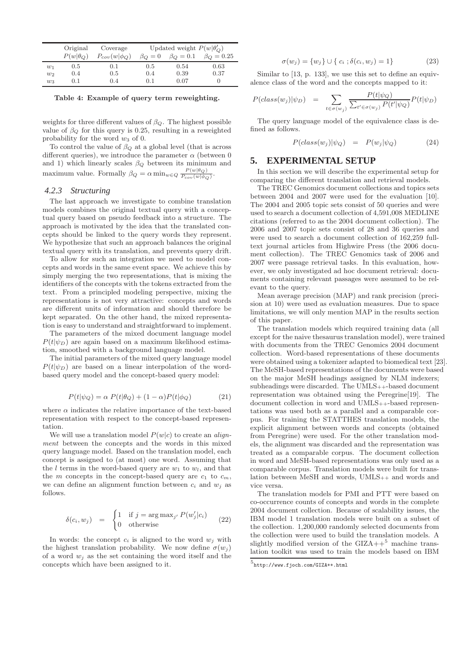|       | Original          | Coverage              |             | Updated weight $P(w \theta'_{\mathcal{O}})$ |                  |
|-------|-------------------|-----------------------|-------------|---------------------------------------------|------------------|
|       | $P(w \theta_{Q})$ | $P_{cov}(w \phi_{Q})$ | $\beta_O=0$ | $\beta_O = 0.1$                             | $\beta_O = 0.25$ |
| $w_1$ | 0.5               | 0.1                   | 0.5         | 0.54                                        | 0.63             |
| $w_2$ | 0.4               | 0.5                   | 0.4         | 0.39                                        | 0.37             |
| $w_3$ | 0.1               | 0.4                   | 0.1         | 0.07                                        |                  |

Table 4: Example of query term reweighting.

weights for three different values of  $\beta_Q$ . The highest possible value of  $\beta_Q$  for this query is 0.25, resulting in a reweighted probability for the word  $w_3$  of 0.

To control the value of  $\beta_Q$  at a global level (that is across different queries), we introduce the parameter  $\alpha$  (between 0) and 1) which linearly scales  $\beta_Q$  between its minimum and maximum value. Formally  $\beta_Q = \alpha \min_{w \in Q} \frac{P(w|\theta_Q)}{P_{\text{conv}}(w|\phi_Q)}$  $P_{cov}(w|\phi_Q)$ .

#### *4.2.3 Structuring*

The last approach we investigate to combine translation models combines the original textual query with a conceptual query based on pseudo feedback into a structure. The approach is motivated by the idea that the translated concepts should be linked to the query words they represent. We hypothesize that such an approach balances the original textual query with its translation, and prevents query drift.

To allow for such an integration we need to model concepts and words in the same event space. We achieve this by simply merging the two representations, that is mixing the identifiers of the concepts with the tokens extracted from the text. From a principled modeling perspective, mixing the representations is not very attractive: concepts and words are different units of information and should therefore be kept separated. On the other hand, the mixed representation is easy to understand and straightforward to implement.

The parameters of the mixed document language model  $P(t|\psi_D)$  are again based on a maximum likelihood estimation, smoothed with a background language model.

The initial parameters of the mixed query language model  $P(t|\psi_D)$  are based on a linear interpolation of the wordbased query model and the concept-based query model:

$$
P(t|\psi_Q) = \alpha P(t|\theta_Q) + (1-\alpha)P(t|\phi_Q)
$$
 (21)

where  $\alpha$  indicates the relative importance of the text-based representation with respect to the concept-based representation.

We will use a translation model  $P(w|c)$  to create an *align*ment between the concepts and the words in this mixed query language model. Based on the translation model, each concept is assigned to (at most) one word. Assuming that the l terms in the word-based query are  $w_1$  to  $w_1$ , and that the m concepts in the concept-based query are  $c_1$  to  $c_m$ , we can define an alignment function between  $c_i$  and  $w_j$  as follows.

$$
\delta(c_i, w_j) = \begin{cases} 1 & \text{if } j = \arg \max_{j'} P(w'_j|c_i) \\ 0 & \text{otherwise} \end{cases}
$$
 (22)

In words: the concept  $c_i$  is aligned to the word  $w_j$  with the highest translation probability. We now define  $\sigma(w_i)$ of a word  $w_i$  as the set containing the word itself and the concepts which have been assigned to it.

$$
\sigma(w_j) = \{w_j\} \cup \{c_i; \delta(c_i, w_j) = 1\}
$$
\n(23)

Similar to [13, p. 133], we use this set to define an equivalence class of the word and the concepts mapped to it:

$$
P(class(w_j)|\psi_D) = \sum_{t \in \sigma(w_j)} \frac{P(t|\psi_Q)}{\sum_{t' \in \sigma(w_j)} P(t'|\psi_Q)} P(t|\psi_D)
$$

The query language model of the equivalence class is defined as follows.

$$
P(class(w_j)|\psi_Q) = P(w_j|\psi_Q) \tag{24}
$$

# **5. EXPERIMENTAL SETUP**

In this section we will describe the experimental setup for comparing the different translation and retrieval models.

The TREC Genomics document collections and topics sets between 2004 and 2007 were used for the evaluation [10]. The 2004 and 2005 topic sets consist of 50 queries and were used to search a document collection of 4,591,008 MEDLINE citations (referred to as the 2004 document collection). The 2006 and 2007 topic sets consist of 28 and 36 queries and were used to search a document collection of 162,259 fulltext journal articles from Highwire Press (the 2006 document collection). The TREC Genomics task of 2006 and 2007 were passage retrieval tasks. In this evaluation, however, we only investigated ad hoc document retrieval: documents containing relevant passages were assumed to be relevant to the query.

Mean average precision (MAP) and rank precision (precision at 10) were used as evaluation measures. Due to space limitations, we will only mention MAP in the results section of this paper.

The translation models which required training data (all except for the naive thesaurus translation model), were trained with documents from the TREC Genomics 2004 document collection. Word-based representations of these documents were obtained using a tokenizer adapted to biomedical text [23]. The MeSH-based representations of the documents were based on the major MeSH headings assigned by NLM indexers; subheadings were discarded. The UMLS++-based document representation was obtained using the Peregrine[19]. The document collection in word and UMLS++-based representations was used both as a parallel and a comparable corpus. For training the STATTHES translation models, the explicit alignment between words and concepts (obtained from Peregrine) were used. For the other translation models, the alignment was discarded and the representation was treated as a comparable corpus. The document collection in word and MeSH-based representations was only used as a comparable corpus. Translation models were built for translation between MeSH and words, UMLS++ and words and vice versa.

The translation models for PMI and PTT were based on co-occurrence counts of concepts and words in the complete 2004 document collection. Because of scalability issues, the IBM model 1 translation models were built on a subset of the collection. 1,200,000 randomly selected documents from the collection were used to build the translation models. A slightly modified version of the  $\text{GIZA++}^5$  machine translation toolkit was used to train the models based on IBM

<sup>&</sup>lt;sup>5</sup>http://www.fjoch.com/GIZA++.html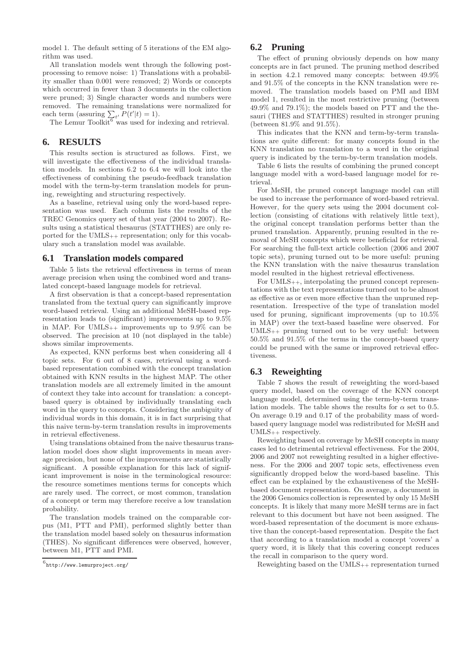model 1. The default setting of 5 iterations of the EM algorithm was used.

All translation models went through the following postprocessing to remove noise: 1) Translations with a probability smaller than 0.001 were removed; 2) Words or concepts which occurred in fewer than 3 documents in the collection were pruned; 3) Single character words and numbers were removed. The remaining translations were normalized for each term (assuring  $\sum_{t'} P(t'|t) = 1$ ).

The Lemur Toolkit<sup> $6$ </sup> was used for indexing and retrieval.

#### **6. RESULTS**

This results section is structured as follows. First, we will investigate the effectiveness of the individual translation models. In sections 6.2 to 6.4 we will look into the effectiveness of combining the pseudo-feedback translation model with the term-by-term translation models for pruning, reweighting and structuring respectively.

As a baseline, retrieval using only the word-based representation was used. Each column lists the results of the TREC Genomics query set of that year (2004 to 2007). Results using a statistical thesaurus (STATTHES) are only reported for the UMLS++ representation; only for this vocabulary such a translation model was available.

#### **6.1 Translation models compared**

Table 5 lists the retrieval effectiveness in terms of mean average precision when using the combined word and translated concept-based language models for retrieval.

A first observation is that a concept-based representation translated from the textual query can significantly improve word-based retrieval. Using an additional MeSH-based representation leads to (significant) improvements up to 9.5% in MAP. For  $UMLS_{++}$  improvements up to 9.9% can be observed. The precision at 10 (not displayed in the table) shows similar improvements.

As expected, KNN performs best when considering all 4 topic sets. For 6 out of 8 cases, retrieval using a wordbased representation combined with the concept translation obtained with KNN results in the highest MAP. The other translation models are all extremely limited in the amount of context they take into account for translation: a conceptbased query is obtained by individually translating each word in the query to concepts. Considering the ambiguity of individual words in this domain, it is in fact surprising that this naive term-by-term translation results in improvements in retrieval effectiveness.

Using translations obtained from the naive thesaurus translation model does show slight improvements in mean average precision, but none of the improvements are statistically significant. A possible explanation for this lack of significant improvement is noise in the terminological resource: the resource sometimes mentions terms for concepts which are rarely used. The correct, or most common, translation of a concept or term may therefore receive a low translation probability.

The translation models trained on the comparable corpus (M1, PTT and PMI), performed slightly better than the translation model based solely on thesaurus information (THES). No significant differences were observed, however, between M1, PTT and PMI.

## **6.2 Pruning**

The effect of pruning obviously depends on how many concepts are in fact pruned. The pruning method described in section 4.2.1 removed many concepts: between 49.9% and 91.5% of the concepts in the KNN translation were removed. The translation models based on PMI and IBM model 1, resulted in the most restrictive pruning (between 49.9% and 79.1%); the models based on PTT and the thesauri (THES and STATTHES) resulted in stronger pruning (between 81.9% and 91.5%).

This indicates that the KNN and term-by-term translations are quite different: for many concepts found in the KNN translation no translation to a word in the original query is indicated by the term-by-term translation models.

Table 6 lists the results of combining the pruned concept language model with a word-based language model for retrieval.

For MeSH, the pruned concept language model can still be used to increase the performance of word-based retrieval. However, for the query sets using the 2004 document collection (consisting of citations with relatively little text), the original concept translation performs better than the pruned translation. Apparently, pruning resulted in the removal of MeSH concepts which were beneficial for retrieval. For searching the full-text article collection (2006 and 2007 topic sets), pruning turned out to be more useful: pruning the KNN translation with the naive thesaurus translation model resulted in the highest retrieval effectiveness.

For UMLS++, interpolating the pruned concept representations with the text representations turned out to be almost as effective as or even more effective than the unpruned representation. Irrespective of the type of translation model used for pruning, significant improvements (up to 10.5% in MAP) over the text-based baseline were observed. For UMLS++ pruning turned out to be very useful: between 50.5% and 91.5% of the terms in the concept-based query could be pruned with the same or improved retrieval effectiveness.

#### **6.3 Reweighting**

Table 7 shows the result of reweighting the word-based query model, based on the coverage of the KNN concept language model, determined using the term-by-term translation models. The table shows the results for  $\alpha$  set to 0.5. On average 0.19 and 0.17 of the probability mass of wordbased query language model was redistributed for MeSH and UMLS++ respectively.

Reweighting based on coverage by MeSH concepts in many cases led to detrimental retrieval effectiveness. For the 2004, 2006 and 2007 not reweighting resulted in a higher effectiveness. For the 2006 and 2007 topic sets, effectiveness even significantly dropped below the word-based baseline. This effect can be explained by the exhaustiveness of the MeSHbased document representation. On average, a document in the 2006 Genomics collection is represented by only 15 MeSH concepts. It is likely that many more MeSH terms are in fact relevant to this document but have not been assigned. The word-based representation of the document is more exhaustive than the concept-based representation. Despite the fact that according to a translation model a concept 'covers' a query word, it is likely that this covering concept reduces the recall in comparison to the query word.

Reweighting based on the UMLS++ representation turned

 $^6$ http://www.lemurproject.org/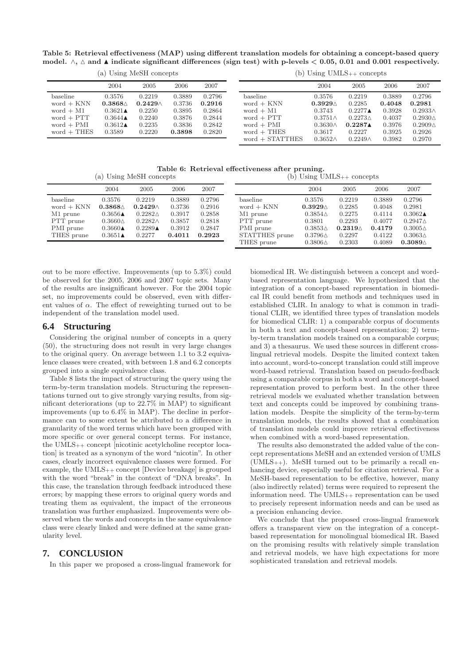Table 5: Retrieval effectiveness (MAP) using different translation models for obtaining a concept-based query model.  $\land$ ,  $\land$  and ▲ indicate significant differences (sign test) with p-levels < 0.05, 0.01 and 0.001 respectively.

|  |  |  | (a) Using MeSH concepts |
|--|--|--|-------------------------|
|--|--|--|-------------------------|

(b) Using UMLS++ concepts

|               | 2004                   | 2005            | 2006   | 2007   |                   | 2004              | 2005               | 2006   | 2007              |
|---------------|------------------------|-----------------|--------|--------|-------------------|-------------------|--------------------|--------|-------------------|
| baseline      | 0.3576                 | 0.2219          | 0.3889 | 0.2796 | baseline          | 0.3576            | 0.2219             | 0.3889 | 0.2796            |
| $word + KNN$  | $0.3868\triangle$      | $0.2429 \wedge$ | 0.3736 | 0.2916 | $word + KNN$      | $0.3929\triangle$ | 0.2285             | 0.4048 | 0.2981            |
| $word + M1$   | $0.3621\blacktriangle$ | 0.2250          | 0.3895 | 0.2864 | word $+$ M1       | 0.3743            | $0.2277 \triangle$ | 0.3928 | $0.2933\wedge$    |
| $word + PTT$  | $0.3644 \triangle$     | 0.2240          | 0.3876 | 0.2844 | $word + PTT$      | $0.3751\wedge$    | $0.2273 \wedge$    | 0.4037 | $0.2930\triangle$ |
| $word + PMI$  | $0.3612\blacktriangle$ | 0.2235          | 0.3836 | 0.2842 | $word + PMI$      | $0.3630 \wedge$   | 0.2287             | 0.3976 | $0.2909\triangle$ |
| $word + THES$ | 0.3589                 | 0.2220          | 0.3898 | 0.2820 | $word + THES$     | 0.3617            | 0.2227             | 0.3925 | 0.2926            |
|               |                        |                 |        |        | $word + STATTHES$ | $0.3652\wedge$    | $0.2249\wedge$     | 0.3982 | 0.2970            |

Table 6: Retrieval effectiveness after pruning. (a) Using MeSH concepts  $(b)$  Using UMLS<sub>++</sub> concepts

|              |                    |                        |        |        |                |                   | a seed a creek in a second to |        |                    |
|--------------|--------------------|------------------------|--------|--------|----------------|-------------------|-------------------------------|--------|--------------------|
|              | 2004               | 2005                   | 2006   | 2007   |                | 2004              | 2005                          | 2006   | 2007               |
| baseline     | 0.3576             | 0.2219                 | 0.3889 | 0.2796 | baseline       | 0.3576            | 0.2219                        | 0.3889 | 0.2796             |
| $word + KNN$ | $0.3868\triangle$  | $0.2429\wedge$         | 0.3736 | 0.2916 | $word + KNN$   | $0.3929\triangle$ | 0.2285                        | 0.4048 | 0.2981             |
| M1 prune     | $0.3656\triangle$  | $0.2282\triangle$      | 0.3917 | 0.2858 | M1 prune       | $0.3854\triangle$ | 0.2275                        | 0.4114 | $0.3062 \triangle$ |
| PTT prune    | $0.3660\triangle$  | $0.2282\wedge$         | 0.3857 | 0.2818 | PTT prune      | 0.3801            | 0.2293                        | 0.4077 | $0.2947\triangle$  |
| PMI prune    | $0.3660\triangle$  | $0.2289\blacktriangle$ | 0.3912 | 0.2847 | PMI prune      | $0.3853\triangle$ | $0.2319 \triangle$            | 0.4179 | $0.3005\triangle$  |
| THES prune   | $0.3651 \triangle$ | 0.2277                 | 0.4011 | 0.2923 | STATTHES prune | $0.3796\triangle$ | 0.2297                        | 0.4122 | $0.3063\triangle$  |
|              |                    |                        |        |        | THES prune     | $0.3806\triangle$ | 0.2303                        | 0.4089 | $0.3089\triangle$  |

out to be more effective. Improvements (up to 5.3%) could be observed for the 2005, 2006 and 2007 topic sets. Many of the results are insignificant however. For the 2004 topic set, no improvements could be observed, even with different values of  $\alpha$ . The effect of reweighting turned out to be independent of the translation model used.

## **6.4 Structuring**

Considering the original number of concepts in a query (50), the structuring does not result in very large changes to the original query. On average between 1.1 to 3.2 equivalence classes were created, with between 1.8 and 6.2 concepts grouped into a single equivalence class.

Table 8 lists the impact of structuring the query using the term-by-term translation models. Structuring the representations turned out to give strongly varying results, from significant deteriorations (up to 22.7% in MAP) to significant improvements (up to 6.4% in MAP). The decline in performance can to some extent be attributed to a difference in granularity of the word terms which have been grouped with more specific or over general concept terms. For instance, the UMLS++ concept [nicotinic acetylcholine receptor location] is treated as a synonym of the word "nicotin". In other cases, clearly incorrect equivalence classes were formed. For example, the UMLS++ concept [Device breakage] is grouped with the word "break" in the context of "DNA breaks". In this case, the translation through feedback introduced these errors; by mapping these errors to original query words and treating them as equivalent, the impact of the erroneous translation was further emphasized. Improvements were observed when the words and concepts in the same equivalence class were clearly linked and were defined at the same granularity level.

# **7. CONCLUSION**

In this paper we proposed a cross-lingual framework for

biomedical IR. We distinguish between a concept and wordbased representation language. We hypothesized that the integration of a concept-based representation in biomedical IR could benefit from methods and techniques used in established CLIR. In analogy to what is common in traditional CLIR, we identified three types of translation models for biomedical CLIR: 1) a comparable corpus of documents in both a text and concept-based representation; 2) termby-term translation models trained on a comparable corpus; and 3) a thesaurus. We used these sources in different crosslingual retrieval models. Despite the limited context taken into account, word-to-concept translation could still improve word-based retrieval. Translation based on pseudo-feedback using a comparable corpus in both a word and concept-based representation proved to perform best. In the other three retrieval models we evaluated whether translation between text and concepts could be improved by combining translation models. Despite the simplicity of the term-by-term translation models, the results showed that a combination of translation models could improve retrieval effectiveness when combined with a word-based representation.

The results also demonstrated the added value of the concept representations MeSH and an extended version of UMLS (UMLS++). MeSH turned out to be primarily a recall enhancing device, especially useful for citation retrieval. For a MeSH-based representation to be effective, however, many (also indirectly related) terms were required to represent the information need. The UMLS++ representation can be used to precisely represent information needs and can be used as a precision enhancing device.

We conclude that the proposed cross-lingual framework offers a transparent view on the integration of a conceptbased representation for monolingual biomedical IR. Based on the promising results with relatively simple translation and retrieval models, we have high expectations for more sophisticated translation and retrieval models.